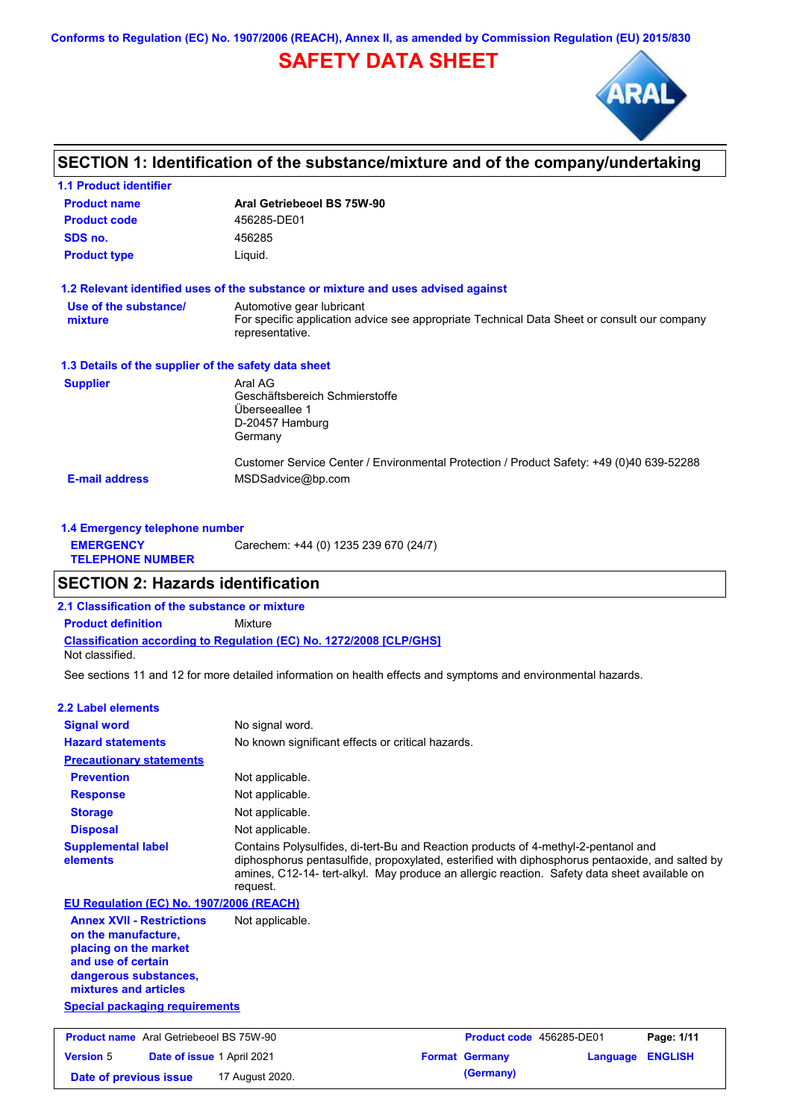**Conforms to Regulation (EC) No. 1907/2006 (REACH), Annex II, as amended by Commission Regulation (EU) 2015/830**

# **SAFETY DATA SHEET**



# **SECTION 1: Identification of the substance/mixture and of the company/undertaking**

| <b>1.1 Product identifier</b>                        |                                                                                                                                             |
|------------------------------------------------------|---------------------------------------------------------------------------------------------------------------------------------------------|
| <b>Product name</b>                                  | Aral Getriebeoel BS 75W-90                                                                                                                  |
| <b>Product code</b>                                  | 456285-DE01                                                                                                                                 |
| SDS no.                                              | 456285                                                                                                                                      |
| <b>Product type</b>                                  | Liquid.                                                                                                                                     |
|                                                      | 1.2 Relevant identified uses of the substance or mixture and uses advised against                                                           |
| Use of the substance/<br>mixture                     | Automotive gear lubricant<br>For specific application advice see appropriate Technical Data Sheet or consult our company<br>representative. |
| 1.3 Details of the supplier of the safety data sheet |                                                                                                                                             |
| <b>Supplier</b>                                      | Aral AG<br>Geschäftsbereich Schmierstoffe<br>Überseeallee 1<br>D-20457 Hamburg<br>Germany                                                   |
| <b>E-mail address</b>                                | Customer Service Center / Environmental Protection / Product Safety: +49 (0)40 639-52288<br>MSDSadvice@bp.com                               |

| 1.4 Emergency telephone number              |                                       |  |  |  |
|---------------------------------------------|---------------------------------------|--|--|--|
| <b>EMERGENCY</b><br><b>TELEPHONE NUMBER</b> | Carechem: +44 (0) 1235 239 670 (24/7) |  |  |  |

## **SECTION 2: Hazards identification**

**2.1 Classification of the substance or mixture**

**Classification according to Regulation (EC) No. 1272/2008 [CLP/GHS] Product definition** Mixture

Not classified.

See sections 11 and 12 for more detailed information on health effects and symptoms and environmental hazards.

#### **2.2 Label elements**

| <b>Signal word</b>                                                                                                                                       | No signal word.                                                                                                                                                                                                                                                                                   |
|----------------------------------------------------------------------------------------------------------------------------------------------------------|---------------------------------------------------------------------------------------------------------------------------------------------------------------------------------------------------------------------------------------------------------------------------------------------------|
| <b>Hazard statements</b>                                                                                                                                 | No known significant effects or critical hazards.                                                                                                                                                                                                                                                 |
| <b>Precautionary statements</b>                                                                                                                          |                                                                                                                                                                                                                                                                                                   |
| <b>Prevention</b>                                                                                                                                        | Not applicable.                                                                                                                                                                                                                                                                                   |
| <b>Response</b>                                                                                                                                          | Not applicable.                                                                                                                                                                                                                                                                                   |
| <b>Storage</b>                                                                                                                                           | Not applicable.                                                                                                                                                                                                                                                                                   |
| <b>Disposal</b>                                                                                                                                          | Not applicable.                                                                                                                                                                                                                                                                                   |
| <b>Supplemental label</b><br>elements                                                                                                                    | Contains Polysulfides, di-tert-Bu and Reaction products of 4-methyl-2-pentanol and<br>diphosphorus pentasulfide, propoxylated, esterified with diphosphorus pentaoxide, and salted by<br>amines, C12-14- tert-alkyl. May produce an allergic reaction. Safety data sheet available on<br>request. |
| EU Regulation (EC) No. 1907/2006 (REACH)                                                                                                                 |                                                                                                                                                                                                                                                                                                   |
| <b>Annex XVII - Restrictions</b><br>on the manufacture,<br>placing on the market<br>and use of certain<br>dangerous substances,<br>mixtures and articles | Not applicable.                                                                                                                                                                                                                                                                                   |

**Special packaging requirements**

| <b>Product name</b> Aral Getriebeoel BS 75W-90 |                                   | <b>Product code</b> 456285-DE01 |  | Page: 1/11            |                  |  |
|------------------------------------------------|-----------------------------------|---------------------------------|--|-----------------------|------------------|--|
| <b>Version 5</b>                               | <b>Date of issue 1 April 2021</b> |                                 |  | <b>Format Germany</b> | Language ENGLISH |  |
| Date of previous issue                         |                                   | 17 August 2020.                 |  | (Germany)             |                  |  |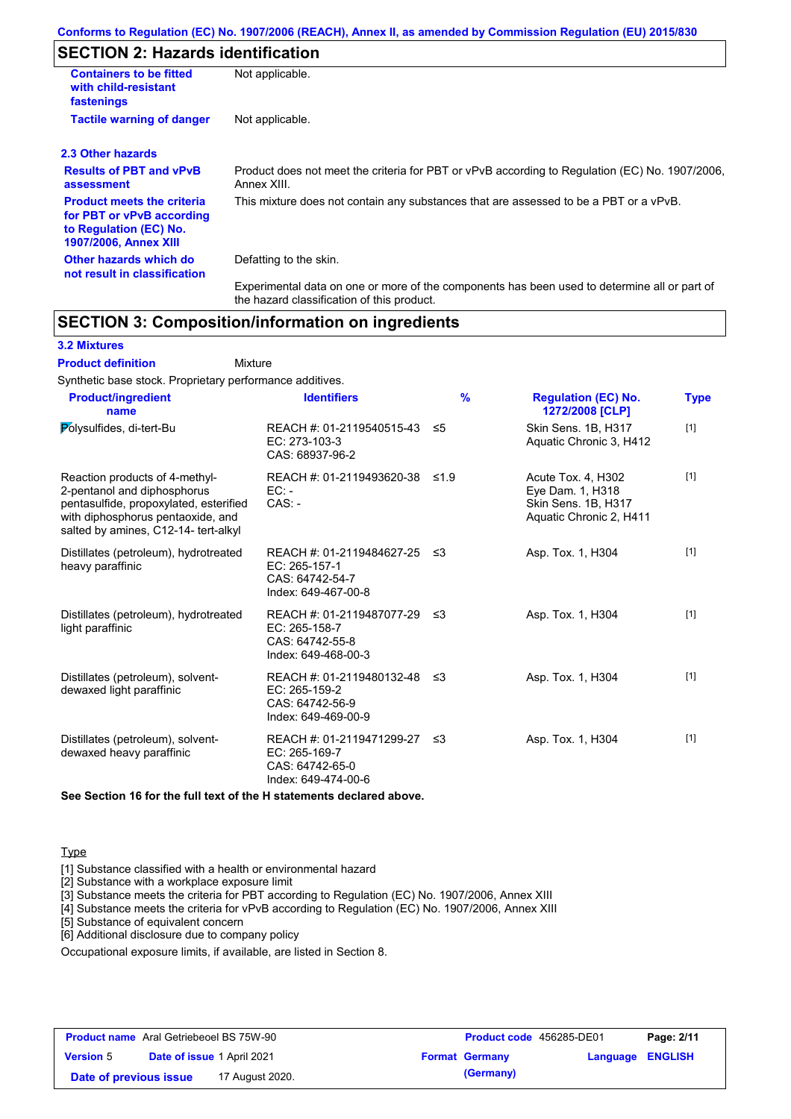# **SECTION 2: Hazards identification**

| <b>Containers to be fitted</b><br>with child-resistant<br>fastenings                                                     | Not applicable.                                                                                               |
|--------------------------------------------------------------------------------------------------------------------------|---------------------------------------------------------------------------------------------------------------|
| <b>Tactile warning of danger</b>                                                                                         | Not applicable.                                                                                               |
| 2.3 Other hazards                                                                                                        |                                                                                                               |
| <b>Results of PBT and vPvB</b><br>assessment                                                                             | Product does not meet the criteria for PBT or vPvB according to Regulation (EC) No. 1907/2006,<br>Annex XIII. |
| <b>Product meets the criteria</b><br>for PBT or vPvB according<br>to Regulation (EC) No.<br><b>1907/2006, Annex XIII</b> | This mixture does not contain any substances that are assessed to be a PBT or a vPvB.                         |
| Other hazards which do<br>not result in classification                                                                   | Defatting to the skin.                                                                                        |
|                                                                                                                          | Experimental data on one or more of the components has been used to determine all or part of                  |

## **SECTION 3: Composition/information on ingredients**

the hazard classification of this product.

## **3.2 Mixtures**

**Mixture Product definition**

Synthetic base stock. Proprietary performance additives.

| <b>Product/ingredient</b><br>name                                                                                                                                                    | <b>Identifiers</b>                                                                        | $\frac{9}{6}$ | <b>Regulation (EC) No.</b><br>1272/2008 [CLP]                                            | <b>Type</b> |
|--------------------------------------------------------------------------------------------------------------------------------------------------------------------------------------|-------------------------------------------------------------------------------------------|---------------|------------------------------------------------------------------------------------------|-------------|
| Polysulfides, di-tert-Bu                                                                                                                                                             | REACH #: 01-2119540515-43<br>EC: 273-103-3<br>CAS: 68937-96-2                             | ≤5            | Skin Sens. 1B, H317<br>Aquatic Chronic 3, H412                                           | $[1]$       |
| Reaction products of 4-methyl-<br>2-pentanol and diphosphorus<br>pentasulfide, propoxylated, esterified<br>with diphosphorus pentaoxide, and<br>salted by amines, C12-14- tert-alkyl | REACH #: 01-2119493620-38<br>$EC: -$<br>$CAS: -$                                          | $\leq 1.9$    | Acute Tox. 4. H302<br>Eye Dam. 1, H318<br>Skin Sens. 1B, H317<br>Aquatic Chronic 2, H411 | $[1]$       |
| Distillates (petroleum), hydrotreated<br>heavy paraffinic                                                                                                                            | REACH #: 01-2119484627-25 ≤3<br>$EC: 265-157-1$<br>CAS: 64742-54-7<br>Index: 649-467-00-8 |               | Asp. Tox. 1, H304                                                                        | $[1]$       |
| Distillates (petroleum), hydrotreated<br>light paraffinic                                                                                                                            | REACH #: 01-2119487077-29 ≤3<br>EC: 265-158-7<br>CAS: 64742-55-8<br>Index: 649-468-00-3   |               | Asp. Tox. 1, H304                                                                        | $[1]$       |
| Distillates (petroleum), solvent-<br>dewaxed light paraffinic                                                                                                                        | REACH #: 01-2119480132-48 ≤3<br>EC: 265-159-2<br>CAS: 64742-56-9<br>Index: 649-469-00-9   |               | Asp. Tox. 1, H304                                                                        | $[1]$       |
| Distillates (petroleum), solvent-<br>dewaxed heavy paraffinic                                                                                                                        | REACH #: 01-2119471299-27<br>EC: 265-169-7<br>CAS: 64742-65-0<br>Index: 649-474-00-6      | -≤3           | Asp. Tox. 1, H304                                                                        | $[1]$       |

**See Section 16 for the full text of the H statements declared above.**

### **Type**

[1] Substance classified with a health or environmental hazard

[2] Substance with a workplace exposure limit

[3] Substance meets the criteria for PBT according to Regulation (EC) No. 1907/2006, Annex XIII

[4] Substance meets the criteria for vPvB according to Regulation (EC) No. 1907/2006, Annex XIII

[5] Substance of equivalent concern

[6] Additional disclosure due to company policy

Occupational exposure limits, if available, are listed in Section 8.

| <b>Product name</b> Aral Getriebeoel BS 75W-90 |                                   | <b>Product code</b> 456285-DE01 |  | Page: 2/11            |                         |  |
|------------------------------------------------|-----------------------------------|---------------------------------|--|-----------------------|-------------------------|--|
| <b>Version 5</b>                               | <b>Date of issue 1 April 2021</b> |                                 |  | <b>Format Germany</b> | <b>Language ENGLISH</b> |  |
| Date of previous issue                         |                                   | 17 August 2020.                 |  | (Germany)             |                         |  |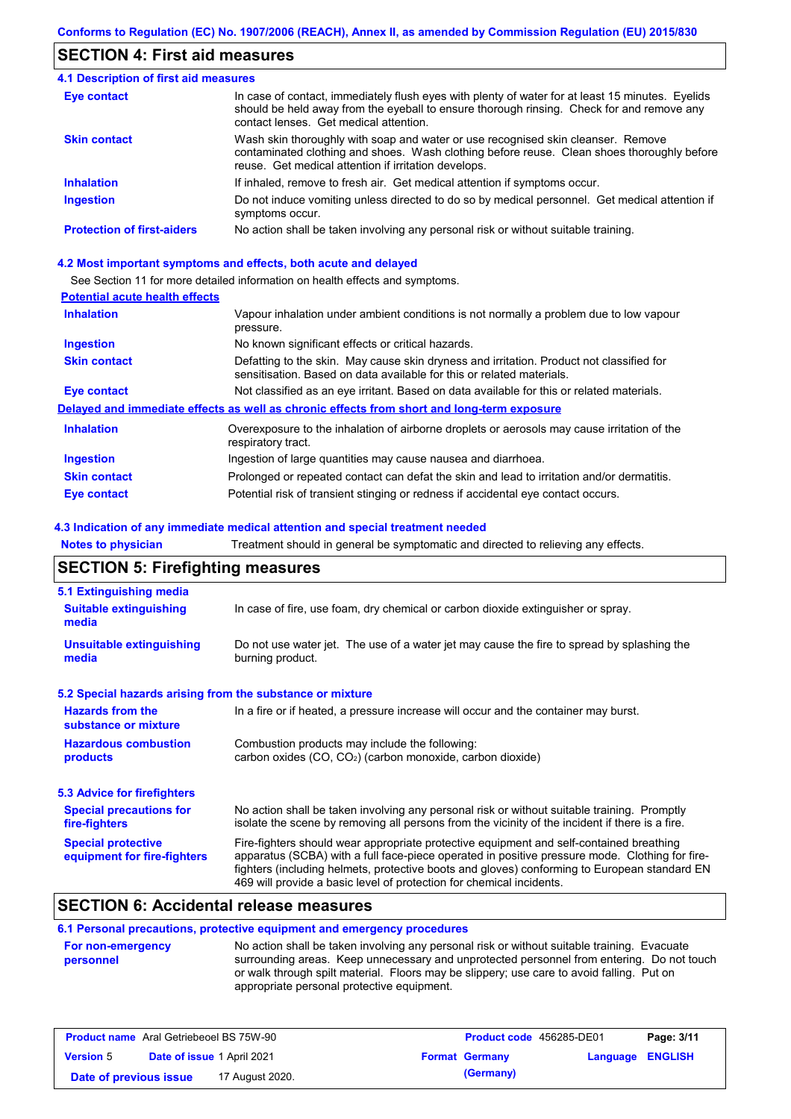# **SECTION 4: First aid measures**

| <b>4.1 Description of first aid measures</b> |                                                                                                                                                                                                                                         |
|----------------------------------------------|-----------------------------------------------------------------------------------------------------------------------------------------------------------------------------------------------------------------------------------------|
| <b>Eye contact</b>                           | In case of contact, immediately flush eyes with plenty of water for at least 15 minutes. Eyelids<br>should be held away from the eyeball to ensure thorough rinsing. Check for and remove any<br>contact lenses. Get medical attention. |
| <b>Skin contact</b>                          | Wash skin thoroughly with soap and water or use recognised skin cleanser. Remove<br>contaminated clothing and shoes. Wash clothing before reuse. Clean shoes thoroughly before<br>reuse. Get medical attention if irritation develops.  |
| <b>Inhalation</b>                            | If inhaled, remove to fresh air. Get medical attention if symptoms occur.                                                                                                                                                               |
| <b>Ingestion</b>                             | Do not induce vomiting unless directed to do so by medical personnel. Get medical attention if<br>symptoms occur.                                                                                                                       |
| <b>Protection of first-aiders</b>            | No action shall be taken involving any personal risk or without suitable training.                                                                                                                                                      |

### **4.2 Most important symptoms and effects, both acute and delayed**

See Section 11 for more detailed information on health effects and symptoms.

## **Potential acute health effects**

| <b>Inhalation</b>   | Vapour inhalation under ambient conditions is not normally a problem due to low vapour<br>pressure.                                                               |
|---------------------|-------------------------------------------------------------------------------------------------------------------------------------------------------------------|
| Ingestion           | No known significant effects or critical hazards.                                                                                                                 |
| <b>Skin contact</b> | Defatting to the skin. May cause skin dryness and irritation. Product not classified for<br>sensitisation. Based on data available for this or related materials. |
| Eye contact         | Not classified as an eye irritant. Based on data available for this or related materials.                                                                         |
|                     | Delayed and immediate effects as well as chronic effects from short and long-term exposure                                                                        |
| <b>Inhalation</b>   | Overexposure to the inhalation of airborne droplets or aerosols may cause irritation of the<br>respiratory tract.                                                 |
| <b>Ingestion</b>    | Ingestion of large quantities may cause nausea and diarrhoea.                                                                                                     |
| <b>Skin contact</b> | Prolonged or repeated contact can defat the skin and lead to irritation and/or dermatitis.                                                                        |
| <b>Eye contact</b>  | Potential risk of transient stinging or redness if accidental eye contact occurs.                                                                                 |

### **4.3 Indication of any immediate medical attention and special treatment needed**

| <b>Notes to physician</b>                                 | Treatment should in general be symptomatic and directed to relieving any effects.                                                                                                                                                                                                                                                                                 |  |  |  |  |
|-----------------------------------------------------------|-------------------------------------------------------------------------------------------------------------------------------------------------------------------------------------------------------------------------------------------------------------------------------------------------------------------------------------------------------------------|--|--|--|--|
|                                                           | <b>SECTION 5: Firefighting measures</b>                                                                                                                                                                                                                                                                                                                           |  |  |  |  |
| 5.1 Extinguishing media                                   |                                                                                                                                                                                                                                                                                                                                                                   |  |  |  |  |
| <b>Suitable extinguishing</b><br>media                    | In case of fire, use foam, dry chemical or carbon dioxide extinguisher or spray.                                                                                                                                                                                                                                                                                  |  |  |  |  |
| <b>Unsuitable extinguishing</b><br>media                  | Do not use water jet. The use of a water jet may cause the fire to spread by splashing the<br>burning product.                                                                                                                                                                                                                                                    |  |  |  |  |
| 5.2 Special hazards arising from the substance or mixture |                                                                                                                                                                                                                                                                                                                                                                   |  |  |  |  |
| <b>Hazards from the</b><br>substance or mixture           | In a fire or if heated, a pressure increase will occur and the container may burst.                                                                                                                                                                                                                                                                               |  |  |  |  |
| <b>Hazardous combustion</b>                               | Combustion products may include the following:                                                                                                                                                                                                                                                                                                                    |  |  |  |  |
| products                                                  | carbon oxides (CO, CO <sub>2</sub> ) (carbon monoxide, carbon dioxide)                                                                                                                                                                                                                                                                                            |  |  |  |  |
| <b>5.3 Advice for firefighters</b>                        |                                                                                                                                                                                                                                                                                                                                                                   |  |  |  |  |
| <b>Special precautions for</b><br>fire-fighters           | No action shall be taken involving any personal risk or without suitable training. Promptly<br>isolate the scene by removing all persons from the vicinity of the incident if there is a fire.                                                                                                                                                                    |  |  |  |  |
| <b>Special protective</b><br>equipment for fire-fighters  | Fire-fighters should wear appropriate protective equipment and self-contained breathing<br>apparatus (SCBA) with a full face-piece operated in positive pressure mode. Clothing for fire-<br>fighters (including helmets, protective boots and gloves) conforming to European standard EN<br>469 will provide a basic level of protection for chemical incidents. |  |  |  |  |

# **SECTION 6: Accidental release measures**

## **6.1 Personal precautions, protective equipment and emergency procedures**

| <b>For non-emergency</b> | No action shall be taken involving any personal risk or without suitable training. Evacuate |
|--------------------------|---------------------------------------------------------------------------------------------|
| personnel                | surrounding areas. Keep unnecessary and unprotected personnel from entering. Do not touch   |
|                          | or walk through spilt material. Floors may be slippery; use care to avoid falling. Put on   |
|                          | appropriate personal protective equipment.                                                  |

| <b>Product name</b> Aral Getriebeoel BS 75W-90        |  | <b>Product code</b> 456285-DE01 |                       | Page: 3/11              |  |  |
|-------------------------------------------------------|--|---------------------------------|-----------------------|-------------------------|--|--|
| <b>Date of issue 1 April 2021</b><br><b>Version 5</b> |  |                                 | <b>Format Germany</b> | <b>Language ENGLISH</b> |  |  |
| Date of previous issue                                |  | 17 August 2020.                 |                       | (Germany)               |  |  |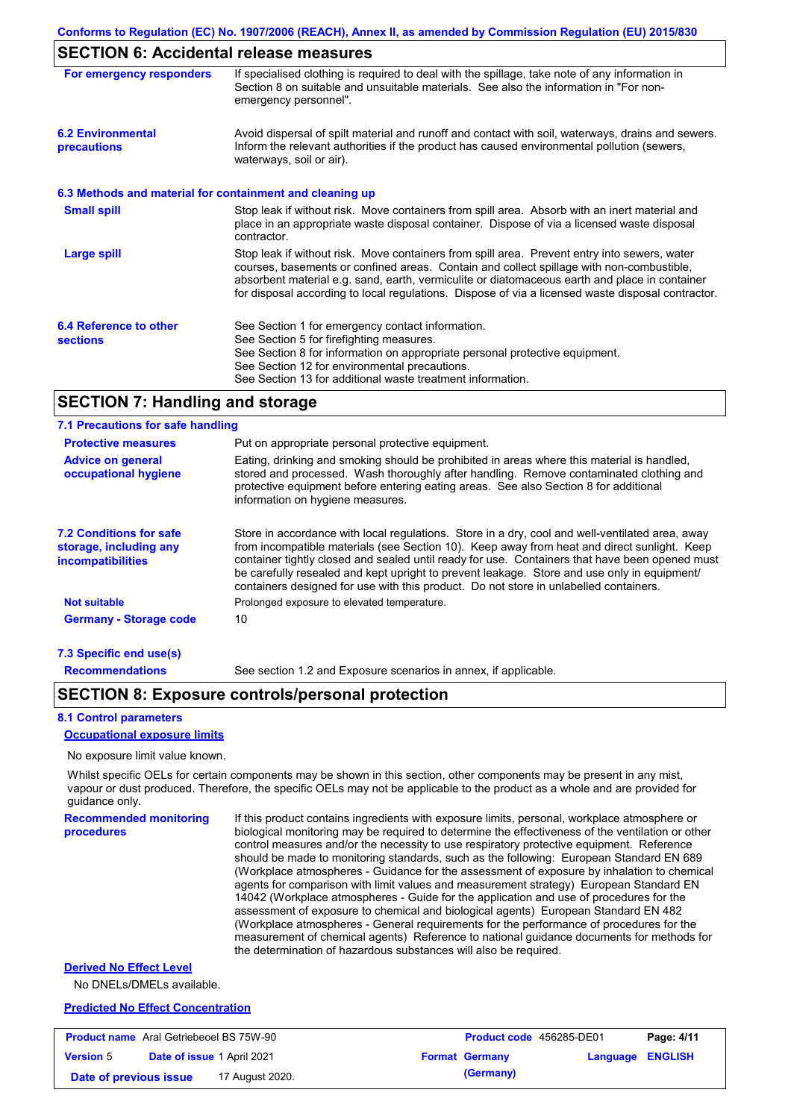# **SECTION 6: Accidental release measures**

| For emergency responders                                 | If specialised clothing is required to deal with the spillage, take note of any information in<br>Section 8 on suitable and unsuitable materials. See also the information in "For non-<br>emergency personnel".                                                                                                                                                                               |
|----------------------------------------------------------|------------------------------------------------------------------------------------------------------------------------------------------------------------------------------------------------------------------------------------------------------------------------------------------------------------------------------------------------------------------------------------------------|
| <b>6.2 Environmental</b><br>precautions                  | Avoid dispersal of spilt material and runoff and contact with soil, waterways, drains and sewers.<br>Inform the relevant authorities if the product has caused environmental pollution (sewers,<br>waterways, soil or air).                                                                                                                                                                    |
| 6.3 Methods and material for containment and cleaning up |                                                                                                                                                                                                                                                                                                                                                                                                |
| <b>Small spill</b>                                       | Stop leak if without risk. Move containers from spill area. Absorb with an inert material and<br>place in an appropriate waste disposal container. Dispose of via a licensed waste disposal<br>contractor.                                                                                                                                                                                     |
| <b>Large spill</b>                                       | Stop leak if without risk. Move containers from spill area. Prevent entry into sewers, water<br>courses, basements or confined areas. Contain and collect spillage with non-combustible,<br>absorbent material e.g. sand, earth, vermiculite or diatomaceous earth and place in container<br>for disposal according to local regulations. Dispose of via a licensed waste disposal contractor. |
| 6.4 Reference to other<br><b>sections</b>                | See Section 1 for emergency contact information.<br>See Section 5 for firefighting measures.<br>See Section 8 for information on appropriate personal protective equipment.<br>See Section 12 for environmental precautions.<br>See Section 13 for additional waste treatment information.                                                                                                     |

## **SECTION 7: Handling and storage**

#### **7.1 Precautions for safe handling**

| <b>Protective measures</b>                                                           | Put on appropriate personal protective equipment.                                                                                                                                                                                                                                                                                                                                                                                                                                        |
|--------------------------------------------------------------------------------------|------------------------------------------------------------------------------------------------------------------------------------------------------------------------------------------------------------------------------------------------------------------------------------------------------------------------------------------------------------------------------------------------------------------------------------------------------------------------------------------|
| <b>Advice on general</b><br>occupational hygiene                                     | Eating, drinking and smoking should be prohibited in areas where this material is handled.<br>stored and processed. Wash thoroughly after handling. Remove contaminated clothing and<br>protective equipment before entering eating areas. See also Section 8 for additional<br>information on hygiene measures.                                                                                                                                                                         |
| <b>7.2 Conditions for safe</b><br>storage, including any<br><i>incompatibilities</i> | Store in accordance with local requiations. Store in a dry, cool and well-ventilated area, away<br>from incompatible materials (see Section 10). Keep away from heat and direct sunlight. Keep<br>container tightly closed and sealed until ready for use. Containers that have been opened must<br>be carefully resealed and kept upright to prevent leakage. Store and use only in equipment/<br>containers designed for use with this product. Do not store in unlabelled containers. |
| <b>Not suitable</b>                                                                  | Prolonged exposure to elevated temperature.                                                                                                                                                                                                                                                                                                                                                                                                                                              |
| <b>Germany - Storage code</b>                                                        | 10                                                                                                                                                                                                                                                                                                                                                                                                                                                                                       |
| 7.3 Specific end use(s)                                                              |                                                                                                                                                                                                                                                                                                                                                                                                                                                                                          |

**Recommendations**

See section 1.2 and Exposure scenarios in annex, if applicable.

## **SECTION 8: Exposure controls/personal protection**

#### **8.1 Control parameters**

#### **Occupational exposure limits**

No exposure limit value known.

Whilst specific OELs for certain components may be shown in this section, other components may be present in any mist, vapour or dust produced. Therefore, the specific OELs may not be applicable to the product as a whole and are provided for guidance only.

**Recommended monitoring procedures**

If this product contains ingredients with exposure limits, personal, workplace atmosphere or biological monitoring may be required to determine the effectiveness of the ventilation or other control measures and/or the necessity to use respiratory protective equipment. Reference should be made to monitoring standards, such as the following: European Standard EN 689 (Workplace atmospheres - Guidance for the assessment of exposure by inhalation to chemical agents for comparison with limit values and measurement strategy) European Standard EN 14042 (Workplace atmospheres - Guide for the application and use of procedures for the assessment of exposure to chemical and biological agents) European Standard EN 482 (Workplace atmospheres - General requirements for the performance of procedures for the measurement of chemical agents) Reference to national guidance documents for methods for the determination of hazardous substances will also be required.

## **Derived No Effect Level**

No DNELs/DMELs available.

### **Predicted No Effect Concentration**

| <b>Product name</b> Aral Getriebeoel BS 75W-90 |                                   |                 | Product code 456285-DE01 |                         | Page: 4/11 |
|------------------------------------------------|-----------------------------------|-----------------|--------------------------|-------------------------|------------|
| <b>Version 5</b>                               | <b>Date of issue 1 April 2021</b> |                 | <b>Format Germany</b>    | <b>Language ENGLISH</b> |            |
| Date of previous issue                         |                                   | 17 August 2020. | (Germany)                |                         |            |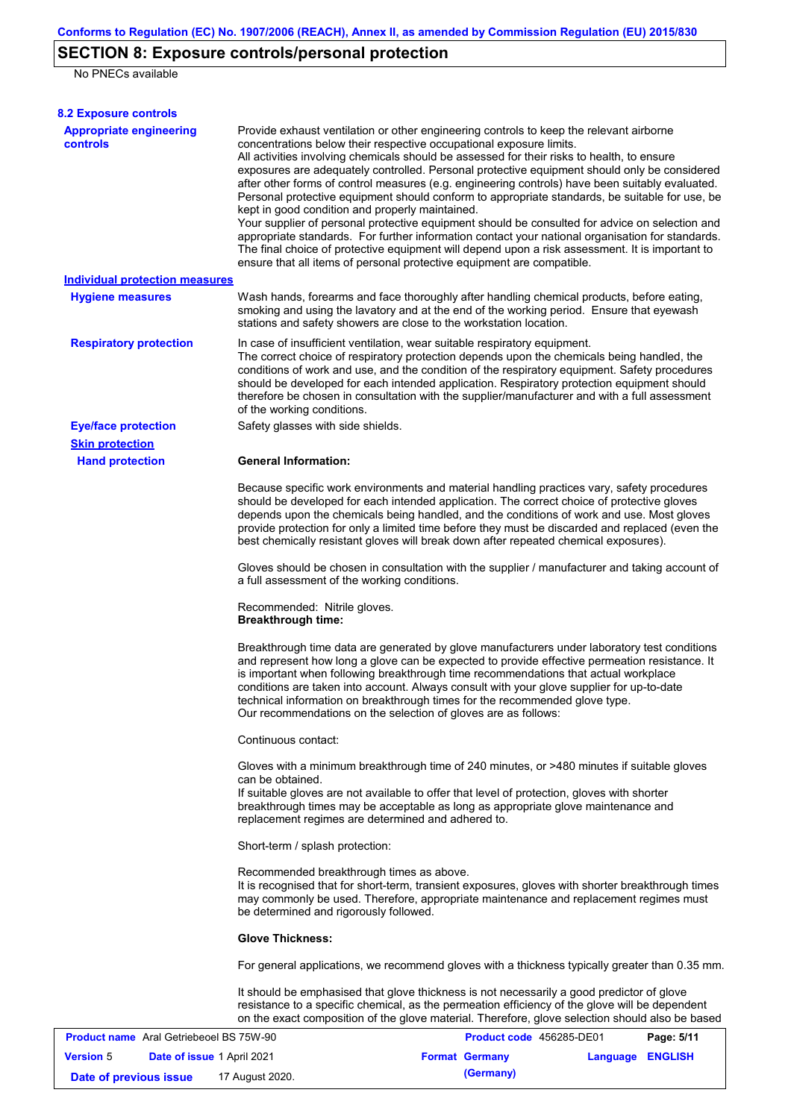# **SECTION 8: Exposure controls/personal protection**

No PNECs available

| <b>8.2 Exposure controls</b>                      |                                                                                                                                                                                                                                                                                                                                                                                                                                                                                                                                                                                                                                                                                                                                                                                                                                                                                                                                                                                                         |                          |          |                |
|---------------------------------------------------|---------------------------------------------------------------------------------------------------------------------------------------------------------------------------------------------------------------------------------------------------------------------------------------------------------------------------------------------------------------------------------------------------------------------------------------------------------------------------------------------------------------------------------------------------------------------------------------------------------------------------------------------------------------------------------------------------------------------------------------------------------------------------------------------------------------------------------------------------------------------------------------------------------------------------------------------------------------------------------------------------------|--------------------------|----------|----------------|
| <b>Appropriate engineering</b><br><b>controls</b> | Provide exhaust ventilation or other engineering controls to keep the relevant airborne<br>concentrations below their respective occupational exposure limits.<br>All activities involving chemicals should be assessed for their risks to health, to ensure<br>exposures are adequately controlled. Personal protective equipment should only be considered<br>after other forms of control measures (e.g. engineering controls) have been suitably evaluated.<br>Personal protective equipment should conform to appropriate standards, be suitable for use, be<br>kept in good condition and properly maintained.<br>Your supplier of personal protective equipment should be consulted for advice on selection and<br>appropriate standards. For further information contact your national organisation for standards.<br>The final choice of protective equipment will depend upon a risk assessment. It is important to<br>ensure that all items of personal protective equipment are compatible. |                          |          |                |
| <b>Individual protection measures</b>             |                                                                                                                                                                                                                                                                                                                                                                                                                                                                                                                                                                                                                                                                                                                                                                                                                                                                                                                                                                                                         |                          |          |                |
| <b>Hygiene measures</b>                           | Wash hands, forearms and face thoroughly after handling chemical products, before eating,<br>smoking and using the lavatory and at the end of the working period. Ensure that eyewash<br>stations and safety showers are close to the workstation location.                                                                                                                                                                                                                                                                                                                                                                                                                                                                                                                                                                                                                                                                                                                                             |                          |          |                |
| <b>Respiratory protection</b>                     | In case of insufficient ventilation, wear suitable respiratory equipment.<br>The correct choice of respiratory protection depends upon the chemicals being handled, the<br>conditions of work and use, and the condition of the respiratory equipment. Safety procedures<br>should be developed for each intended application. Respiratory protection equipment should<br>therefore be chosen in consultation with the supplier/manufacturer and with a full assessment<br>of the working conditions.                                                                                                                                                                                                                                                                                                                                                                                                                                                                                                   |                          |          |                |
| <b>Eye/face protection</b>                        | Safety glasses with side shields.                                                                                                                                                                                                                                                                                                                                                                                                                                                                                                                                                                                                                                                                                                                                                                                                                                                                                                                                                                       |                          |          |                |
| <b>Skin protection</b>                            |                                                                                                                                                                                                                                                                                                                                                                                                                                                                                                                                                                                                                                                                                                                                                                                                                                                                                                                                                                                                         |                          |          |                |
| <b>Hand protection</b>                            | <b>General Information:</b>                                                                                                                                                                                                                                                                                                                                                                                                                                                                                                                                                                                                                                                                                                                                                                                                                                                                                                                                                                             |                          |          |                |
|                                                   | Because specific work environments and material handling practices vary, safety procedures<br>should be developed for each intended application. The correct choice of protective gloves<br>depends upon the chemicals being handled, and the conditions of work and use. Most gloves<br>provide protection for only a limited time before they must be discarded and replaced (even the<br>best chemically resistant gloves will break down after repeated chemical exposures).                                                                                                                                                                                                                                                                                                                                                                                                                                                                                                                        |                          |          |                |
|                                                   | Gloves should be chosen in consultation with the supplier / manufacturer and taking account of<br>a full assessment of the working conditions.                                                                                                                                                                                                                                                                                                                                                                                                                                                                                                                                                                                                                                                                                                                                                                                                                                                          |                          |          |                |
|                                                   | Recommended: Nitrile gloves.<br><b>Breakthrough time:</b>                                                                                                                                                                                                                                                                                                                                                                                                                                                                                                                                                                                                                                                                                                                                                                                                                                                                                                                                               |                          |          |                |
|                                                   | Breakthrough time data are generated by glove manufacturers under laboratory test conditions<br>and represent how long a glove can be expected to provide effective permeation resistance. It<br>is important when following breakthrough time recommendations that actual workplace<br>conditions are taken into account. Always consult with your glove supplier for up-to-date<br>technical information on breakthrough times for the recommended glove type.<br>Our recommendations on the selection of gloves are as follows:                                                                                                                                                                                                                                                                                                                                                                                                                                                                      |                          |          |                |
|                                                   | Continuous contact:                                                                                                                                                                                                                                                                                                                                                                                                                                                                                                                                                                                                                                                                                                                                                                                                                                                                                                                                                                                     |                          |          |                |
|                                                   | Gloves with a minimum breakthrough time of 240 minutes, or >480 minutes if suitable gloves<br>can be obtained.<br>If suitable gloves are not available to offer that level of protection, gloves with shorter<br>breakthrough times may be acceptable as long as appropriate glove maintenance and                                                                                                                                                                                                                                                                                                                                                                                                                                                                                                                                                                                                                                                                                                      |                          |          |                |
|                                                   | replacement regimes are determined and adhered to.                                                                                                                                                                                                                                                                                                                                                                                                                                                                                                                                                                                                                                                                                                                                                                                                                                                                                                                                                      |                          |          |                |
|                                                   | Short-term / splash protection:                                                                                                                                                                                                                                                                                                                                                                                                                                                                                                                                                                                                                                                                                                                                                                                                                                                                                                                                                                         |                          |          |                |
|                                                   | Recommended breakthrough times as above.<br>It is recognised that for short-term, transient exposures, gloves with shorter breakthrough times<br>may commonly be used. Therefore, appropriate maintenance and replacement regimes must<br>be determined and rigorously followed.                                                                                                                                                                                                                                                                                                                                                                                                                                                                                                                                                                                                                                                                                                                        |                          |          |                |
|                                                   | <b>Glove Thickness:</b>                                                                                                                                                                                                                                                                                                                                                                                                                                                                                                                                                                                                                                                                                                                                                                                                                                                                                                                                                                                 |                          |          |                |
|                                                   | For general applications, we recommend gloves with a thickness typically greater than 0.35 mm.                                                                                                                                                                                                                                                                                                                                                                                                                                                                                                                                                                                                                                                                                                                                                                                                                                                                                                          |                          |          |                |
|                                                   | It should be emphasised that glove thickness is not necessarily a good predictor of glove<br>resistance to a specific chemical, as the permeation efficiency of the glove will be dependent<br>on the exact composition of the glove material. Therefore, glove selection should also be based                                                                                                                                                                                                                                                                                                                                                                                                                                                                                                                                                                                                                                                                                                          |                          |          |                |
| <b>Product name</b> Aral Getriebeoel BS 75W-90    |                                                                                                                                                                                                                                                                                                                                                                                                                                                                                                                                                                                                                                                                                                                                                                                                                                                                                                                                                                                                         | Product code 456285-DE01 |          | Page: 5/11     |
| <b>Version 5</b><br>Date of issue 1 April 2021    |                                                                                                                                                                                                                                                                                                                                                                                                                                                                                                                                                                                                                                                                                                                                                                                                                                                                                                                                                                                                         | <b>Format Germany</b>    | Language | <b>ENGLISH</b> |

**Date of previous issue 17 August 2020. (Germany)**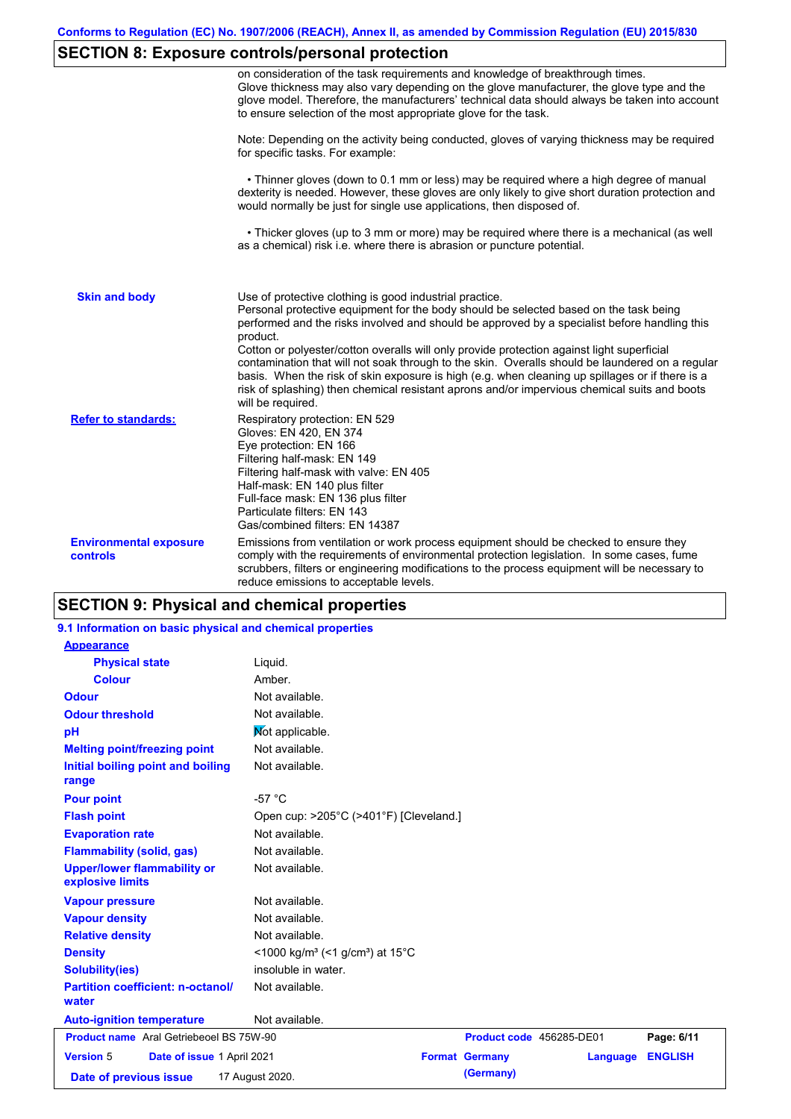# **SECTION 8: Exposure controls/personal protection**

|                                                  | on consideration of the task requirements and knowledge of breakthrough times.<br>Glove thickness may also vary depending on the glove manufacturer, the glove type and the<br>glove model. Therefore, the manufacturers' technical data should always be taken into account<br>to ensure selection of the most appropriate glove for the task.                                                                                                                                                                                                                                                                                                                  |
|--------------------------------------------------|------------------------------------------------------------------------------------------------------------------------------------------------------------------------------------------------------------------------------------------------------------------------------------------------------------------------------------------------------------------------------------------------------------------------------------------------------------------------------------------------------------------------------------------------------------------------------------------------------------------------------------------------------------------|
|                                                  | Note: Depending on the activity being conducted, gloves of varying thickness may be required<br>for specific tasks. For example:                                                                                                                                                                                                                                                                                                                                                                                                                                                                                                                                 |
|                                                  | • Thinner gloves (down to 0.1 mm or less) may be required where a high degree of manual<br>dexterity is needed. However, these gloves are only likely to give short duration protection and<br>would normally be just for single use applications, then disposed of.                                                                                                                                                                                                                                                                                                                                                                                             |
|                                                  | • Thicker gloves (up to 3 mm or more) may be required where there is a mechanical (as well<br>as a chemical) risk i.e. where there is abrasion or puncture potential.                                                                                                                                                                                                                                                                                                                                                                                                                                                                                            |
| <b>Skin and body</b>                             | Use of protective clothing is good industrial practice.<br>Personal protective equipment for the body should be selected based on the task being<br>performed and the risks involved and should be approved by a specialist before handling this<br>product.<br>Cotton or polyester/cotton overalls will only provide protection against light superficial<br>contamination that will not soak through to the skin. Overalls should be laundered on a regular<br>basis. When the risk of skin exposure is high (e.g. when cleaning up spillages or if there is a<br>risk of splashing) then chemical resistant aprons and/or impervious chemical suits and boots |
| <b>Refer to standards:</b>                       | will be required.<br>Respiratory protection: EN 529<br>Gloves: EN 420, EN 374<br>Eye protection: EN 166<br>Filtering half-mask: EN 149<br>Filtering half-mask with valve: EN 405<br>Half-mask: EN 140 plus filter<br>Full-face mask: EN 136 plus filter<br>Particulate filters: EN 143<br>Gas/combined filters: EN 14387                                                                                                                                                                                                                                                                                                                                         |
| <b>Environmental exposure</b><br><b>controls</b> | Emissions from ventilation or work process equipment should be checked to ensure they<br>comply with the requirements of environmental protection legislation. In some cases, fume<br>scrubbers, filters or engineering modifications to the process equipment will be necessary to<br>reduce emissions to acceptable levels.                                                                                                                                                                                                                                                                                                                                    |

# **SECTION 9: Physical and chemical properties**

| 9.1 Information on basic physical and chemical properties |                                                                      |                          |          |                |
|-----------------------------------------------------------|----------------------------------------------------------------------|--------------------------|----------|----------------|
| <b>Appearance</b>                                         |                                                                      |                          |          |                |
| <b>Physical state</b>                                     | Liquid.                                                              |                          |          |                |
| <b>Colour</b>                                             | Amber.                                                               |                          |          |                |
| <b>Odour</b>                                              | Not available.                                                       |                          |          |                |
| <b>Odour threshold</b>                                    | Not available.                                                       |                          |          |                |
| рH                                                        | Not applicable.                                                      |                          |          |                |
| <b>Melting point/freezing point</b>                       | Not available.                                                       |                          |          |                |
| Initial boiling point and boiling<br>range                | Not available.                                                       |                          |          |                |
| <b>Pour point</b>                                         | $-57 °C$                                                             |                          |          |                |
| <b>Flash point</b>                                        | Open cup: >205°C (>401°F) [Cleveland.]                               |                          |          |                |
| <b>Evaporation rate</b>                                   | Not available.                                                       |                          |          |                |
| <b>Flammability (solid, gas)</b>                          | Not available.                                                       |                          |          |                |
| <b>Upper/lower flammability or</b><br>explosive limits    | Not available.                                                       |                          |          |                |
| <b>Vapour pressure</b>                                    | Not available.                                                       |                          |          |                |
| <b>Vapour density</b>                                     | Not available.                                                       |                          |          |                |
| <b>Relative density</b>                                   | Not available.                                                       |                          |          |                |
| <b>Density</b>                                            | <1000 kg/m <sup>3</sup> (<1 g/cm <sup>3</sup> ) at 15 <sup>°</sup> C |                          |          |                |
| <b>Solubility(ies)</b>                                    | insoluble in water.                                                  |                          |          |                |
| <b>Partition coefficient: n-octanol/</b><br>water         | Not available.                                                       |                          |          |                |
| <b>Auto-ignition temperature</b>                          | Not available.                                                       |                          |          |                |
| <b>Product name</b> Aral Getriebeoel BS 75W-90            |                                                                      | Product code 456285-DE01 |          | Page: 6/11     |
| <b>Version 5</b><br>Date of issue 1 April 2021            |                                                                      | <b>Format Germany</b>    | Language | <b>ENGLISH</b> |
| Date of previous issue                                    | 17 August 2020.                                                      | (Germany)                |          |                |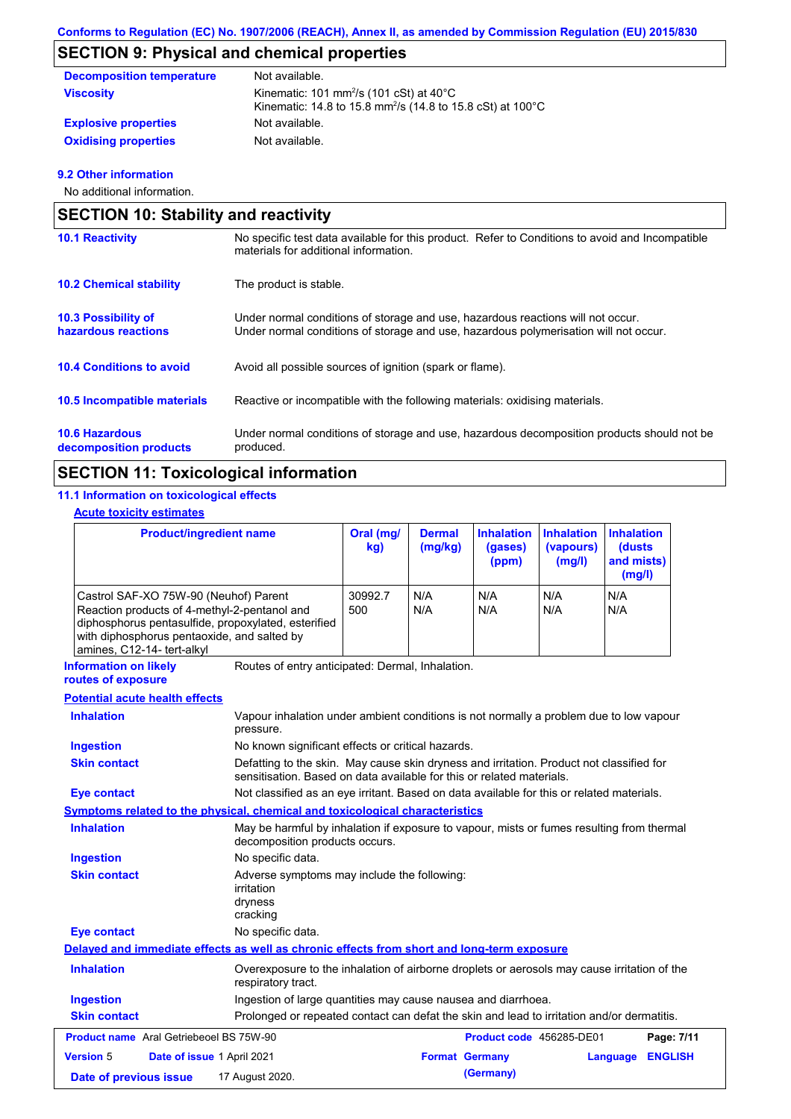# **SECTION 9: Physical and chemical properties**

| <b>Decomposition temperature</b> | Not available.                                                                                                                          |
|----------------------------------|-----------------------------------------------------------------------------------------------------------------------------------------|
| <b>Viscosity</b>                 | Kinematic: 101 mm <sup>2</sup> /s (101 cSt) at $40^{\circ}$ C<br>Kinematic: 14.8 to 15.8 mm <sup>2</sup> /s (14.8 to 15.8 cSt) at 100°C |
| <b>Explosive properties</b>      | Not available.                                                                                                                          |
| <b>Oxidising properties</b>      | Not available.                                                                                                                          |

## **9.2 Other information**

No additional information.

| <b>SECTION 10: Stability and reactivity</b>       |                                                                                                                                                                         |  |  |  |
|---------------------------------------------------|-------------------------------------------------------------------------------------------------------------------------------------------------------------------------|--|--|--|
| <b>10.1 Reactivity</b>                            | No specific test data available for this product. Refer to Conditions to avoid and Incompatible<br>materials for additional information.                                |  |  |  |
| <b>10.2 Chemical stability</b>                    | The product is stable.                                                                                                                                                  |  |  |  |
| <b>10.3 Possibility of</b><br>hazardous reactions | Under normal conditions of storage and use, hazardous reactions will not occur.<br>Under normal conditions of storage and use, hazardous polymerisation will not occur. |  |  |  |
| <b>10.4 Conditions to avoid</b>                   | Avoid all possible sources of ignition (spark or flame).                                                                                                                |  |  |  |
| <b>10.5 Incompatible materials</b>                | Reactive or incompatible with the following materials: oxidising materials.                                                                                             |  |  |  |
| <b>10.6 Hazardous</b><br>decomposition products   | Under normal conditions of storage and use, hazardous decomposition products should not be<br>produced.                                                                 |  |  |  |

# **SECTION 11: Toxicological information**

## **11.1 Information on toxicological effects**

## **Acute toxicity estimates**

| <b>Product/ingredient name</b>                                                                                                                                                                                            |                                                                                                                                                                   | Oral (mg/<br>kg) | <b>Dermal</b><br>(mq/kg) | <b>Inhalation</b><br>(gases)<br>(ppm) | <b>Inhalation</b><br>(vapours)<br>(mg/l) | <b>Inhalation</b><br><b>(dusts)</b><br>and mists)<br>(mg/l) |                |
|---------------------------------------------------------------------------------------------------------------------------------------------------------------------------------------------------------------------------|-------------------------------------------------------------------------------------------------------------------------------------------------------------------|------------------|--------------------------|---------------------------------------|------------------------------------------|-------------------------------------------------------------|----------------|
| Castrol SAF-XO 75W-90 (Neuhof) Parent<br>Reaction products of 4-methyl-2-pentanol and<br>diphosphorus pentasulfide, propoxylated, esterified<br>with diphosphorus pentaoxide, and salted by<br>amines, C12-14- tert-alkyl |                                                                                                                                                                   | 30992.7<br>500   | N/A<br>N/A               | N/A<br>N/A                            | N/A<br>N/A                               | N/A<br>N/A                                                  |                |
| <b>Information on likely</b><br>routes of exposure                                                                                                                                                                        | Routes of entry anticipated: Dermal, Inhalation.                                                                                                                  |                  |                          |                                       |                                          |                                                             |                |
| <b>Potential acute health effects</b>                                                                                                                                                                                     |                                                                                                                                                                   |                  |                          |                                       |                                          |                                                             |                |
| <b>Inhalation</b>                                                                                                                                                                                                         | Vapour inhalation under ambient conditions is not normally a problem due to low vapour<br>pressure.                                                               |                  |                          |                                       |                                          |                                                             |                |
| <b>Ingestion</b>                                                                                                                                                                                                          | No known significant effects or critical hazards.                                                                                                                 |                  |                          |                                       |                                          |                                                             |                |
| <b>Skin contact</b>                                                                                                                                                                                                       | Defatting to the skin. May cause skin dryness and irritation. Product not classified for<br>sensitisation. Based on data available for this or related materials. |                  |                          |                                       |                                          |                                                             |                |
| <b>Eye contact</b>                                                                                                                                                                                                        | Not classified as an eye irritant. Based on data available for this or related materials.                                                                         |                  |                          |                                       |                                          |                                                             |                |
| Symptoms related to the physical, chemical and toxicological characteristics                                                                                                                                              |                                                                                                                                                                   |                  |                          |                                       |                                          |                                                             |                |
| <b>Inhalation</b>                                                                                                                                                                                                         | May be harmful by inhalation if exposure to vapour, mists or fumes resulting from thermal<br>decomposition products occurs.                                       |                  |                          |                                       |                                          |                                                             |                |
| <b>Ingestion</b>                                                                                                                                                                                                          | No specific data.                                                                                                                                                 |                  |                          |                                       |                                          |                                                             |                |
| <b>Skin contact</b>                                                                                                                                                                                                       | Adverse symptoms may include the following:<br>irritation<br>dryness<br>cracking                                                                                  |                  |                          |                                       |                                          |                                                             |                |
| <b>Eye contact</b>                                                                                                                                                                                                        | No specific data.                                                                                                                                                 |                  |                          |                                       |                                          |                                                             |                |
| Delayed and immediate effects as well as chronic effects from short and long-term exposure                                                                                                                                |                                                                                                                                                                   |                  |                          |                                       |                                          |                                                             |                |
| <b>Inhalation</b>                                                                                                                                                                                                         | Overexposure to the inhalation of airborne droplets or aerosols may cause irritation of the<br>respiratory tract.                                                 |                  |                          |                                       |                                          |                                                             |                |
| <b>Ingestion</b>                                                                                                                                                                                                          | Ingestion of large quantities may cause nausea and diarrhoea.                                                                                                     |                  |                          |                                       |                                          |                                                             |                |
| <b>Skin contact</b>                                                                                                                                                                                                       | Prolonged or repeated contact can defat the skin and lead to irritation and/or dermatitis.                                                                        |                  |                          |                                       |                                          |                                                             |                |
| <b>Product name</b> Aral Getriebeoel BS 75W-90                                                                                                                                                                            |                                                                                                                                                                   |                  |                          | Product code 456285-DE01              |                                          |                                                             | Page: 7/11     |
| <b>Version 5</b><br>Date of issue 1 April 2021                                                                                                                                                                            |                                                                                                                                                                   |                  | <b>Format Germany</b>    |                                       |                                          | Language                                                    | <b>ENGLISH</b> |
| Date of previous issue                                                                                                                                                                                                    | 17 August 2020.                                                                                                                                                   |                  |                          | (Germany)                             |                                          |                                                             |                |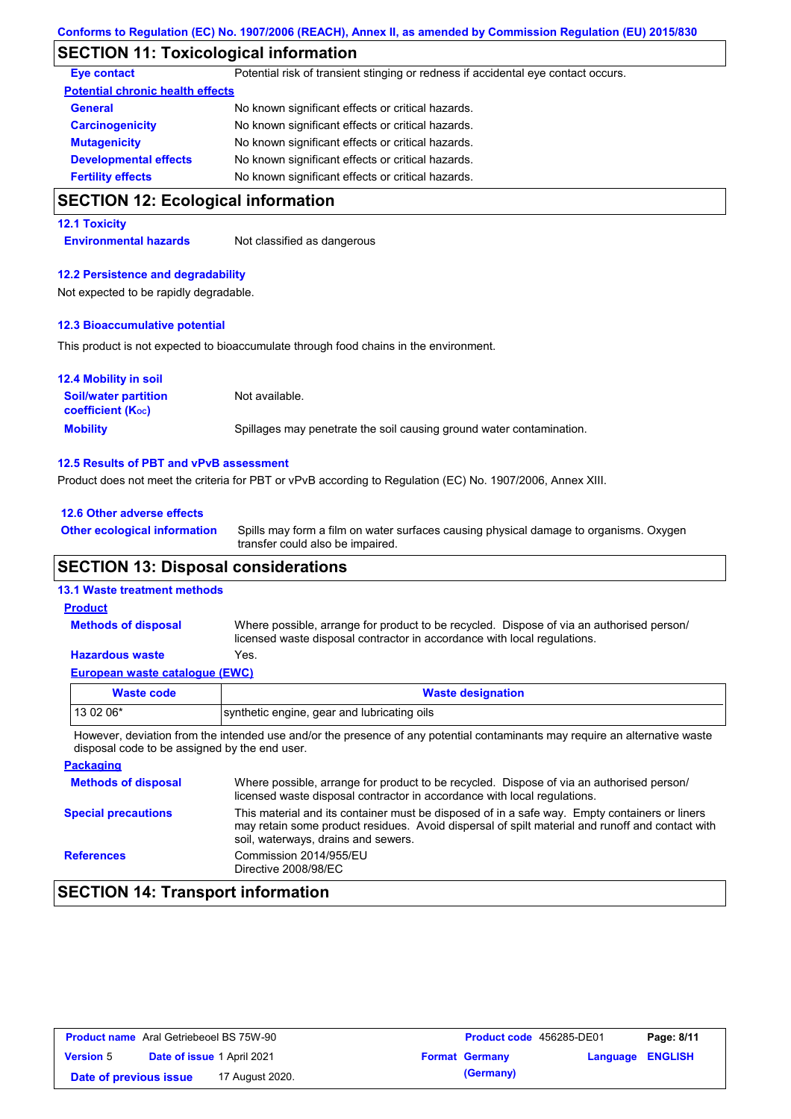# **SECTION 11: Toxicological information**

| Potential risk of transient stinging or redness if accidental eye contact occurs.                          |
|------------------------------------------------------------------------------------------------------------|
| <b>Potential chronic health effects</b>                                                                    |
| No known significant effects or critical hazards.                                                          |
| No known significant effects or critical hazards.                                                          |
| No known significant effects or critical hazards.                                                          |
| No known significant effects or critical hazards.                                                          |
| No known significant effects or critical hazards.                                                          |
| <b>SECTION 12: Ecological information</b>                                                                  |
|                                                                                                            |
| Not classified as dangerous                                                                                |
| <b>12.2 Persistence and degradability</b>                                                                  |
| Not expected to be rapidly degradable.                                                                     |
| <b>12.3 Bioaccumulative potential</b>                                                                      |
| This product is not expected to bioaccumulate through food chains in the environment.                      |
|                                                                                                            |
| Not available.                                                                                             |
| Spillages may penetrate the soil causing ground water contamination.                                       |
| 12.5 Results of PBT and vPvB assessment                                                                    |
| Product does not meet the criteria for PBT or vPvB according to Regulation (EC) No. 1907/2006, Annex XIII. |
|                                                                                                            |

**12.6 Other adverse effects**

**Other ecological information**

Spills may form a film on water surfaces causing physical damage to organisms. Oxygen transfer could also be impaired.

## **SECTION 13: Disposal considerations**

## **13.1 Waste treatment methods**

### **Product**

**Methods of disposal**

Where possible, arrange for product to be recycled. Dispose of via an authorised person/ licensed waste disposal contractor in accordance with local regulations.

#### **European waste catalogue (EWC) Hazardous waste** Yes.

| <b>Waste code</b>                                                                                                                                                            | <b>Waste designation</b>                                                                                                                                             |  |  |  |
|------------------------------------------------------------------------------------------------------------------------------------------------------------------------------|----------------------------------------------------------------------------------------------------------------------------------------------------------------------|--|--|--|
| 13 02 06*                                                                                                                                                                    | synthetic engine, gear and lubricating oils                                                                                                                          |  |  |  |
| However, deviation from the intended use and/or the presence of any potential contaminants may require an alternative waste<br>disposal code to be assigned by the end user. |                                                                                                                                                                      |  |  |  |
| <b>Packaging</b>                                                                                                                                                             |                                                                                                                                                                      |  |  |  |
| <b>Methods of disposal</b>                                                                                                                                                   | Where possible, arrange for product to be recycled. Dispose of via an authorised person/<br>licensed waste disposal contractor in accordance with local regulations. |  |  |  |

| <b>Special precautions</b> | This material and its container must be disposed of in a safe way. Empty containers or liners<br>may retain some product residues. Avoid dispersal of spilt material and runoff and contact with<br>soil, waterways, drains and sewers. |
|----------------------------|-----------------------------------------------------------------------------------------------------------------------------------------------------------------------------------------------------------------------------------------|
| <b>References</b>          | Commission 2014/955/EU<br>Directive 2008/98/EC                                                                                                                                                                                          |

# **SECTION 14: Transport information**

| <b>Product name</b> Aral Getriebeoel BS 75W-90 |                                   |                 | <b>Product code</b> 456285-DE01 |                       | Page: 8/11              |  |
|------------------------------------------------|-----------------------------------|-----------------|---------------------------------|-----------------------|-------------------------|--|
| <b>Version 5</b>                               | <b>Date of issue 1 April 2021</b> |                 |                                 | <b>Format Germany</b> | <b>Language ENGLISH</b> |  |
| Date of previous issue                         |                                   | 17 August 2020. |                                 | (Germany)             |                         |  |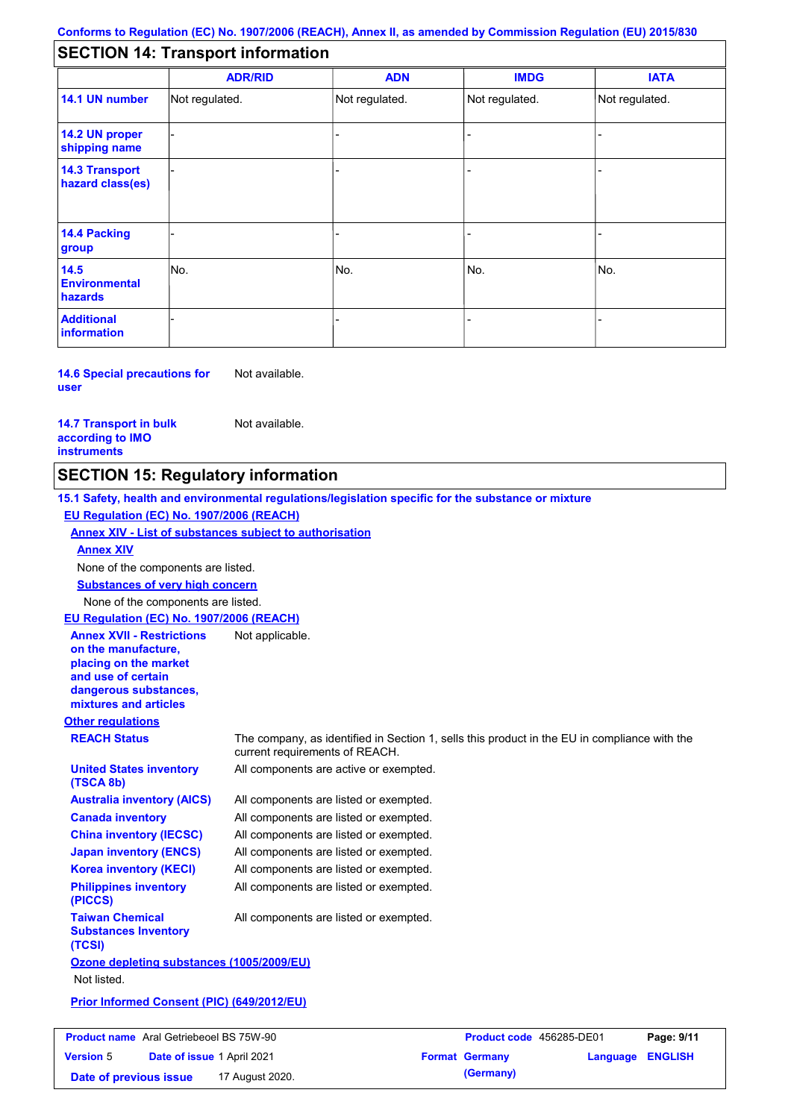# **SECTION 14: Transport information**

|                                           | <b>ADR/RID</b> | <b>ADN</b>     | <b>IMDG</b>    | <b>IATA</b>    |  |  |
|-------------------------------------------|----------------|----------------|----------------|----------------|--|--|
| 14.1 UN number                            | Not regulated. | Not regulated. | Not regulated. | Not regulated. |  |  |
| 14.2 UN proper<br>shipping name           |                |                |                |                |  |  |
| <b>14.3 Transport</b><br>hazard class(es) |                |                |                |                |  |  |
| 14.4 Packing<br>group                     |                |                |                |                |  |  |
| 14.5<br><b>Environmental</b><br>hazards   | No.            | No.            | No.            | No.            |  |  |
| <b>Additional</b><br>information          |                |                |                |                |  |  |

**14.6 Special precautions for user** Not available.

**14.7 Transport in bulk according to IMO instruments**

Not available.

## **SECTION 15: Regulatory information**

**Other regulations REACH Status** The company, as identified in Section 1, sells this product in the EU in compliance with the current requirements of REACH. **15.1 Safety, health and environmental regulations/legislation specific for the substance or mixture EU Regulation (EC) No. 1907/2006 (REACH) Annex XIV - List of substances subject to authorisation Substances of very high concern** None of the components are listed. All components are listed or exempted. All components are listed or exempted. All components are listed or exempted. All components are listed or exempted. All components are active or exempted. All components are listed or exempted. All components are listed or exempted. **United States inventory (TSCA 8b) Australia inventory (AICS) Canada inventory China inventory (IECSC) Japan inventory (ENCS) Korea inventory (KECI) Philippines inventory (PICCS) Taiwan Chemical Substances Inventory (TCSI)** All components are listed or exempted. **Ozone depleting substances (1005/2009/EU)** Not listed. **Prior Informed Consent (PIC) (649/2012/EU)** None of the components are listed. **Annex XIV EU Regulation (EC) No. 1907/2006 (REACH) Annex XVII - Restrictions on the manufacture, placing on the market and use of certain dangerous substances, mixtures and articles** Not applicable.

| <b>Product name</b> Aral Getriebeoel BS 75W-90 |                                   |                 | <b>Product code</b> 456285-DE01 |                       | Page: 9/11       |  |
|------------------------------------------------|-----------------------------------|-----------------|---------------------------------|-----------------------|------------------|--|
| <b>Version 5</b>                               | <b>Date of issue 1 April 2021</b> |                 |                                 | <b>Format Germany</b> | Language ENGLISH |  |
| Date of previous issue                         |                                   | 17 August 2020. |                                 | (Germany)             |                  |  |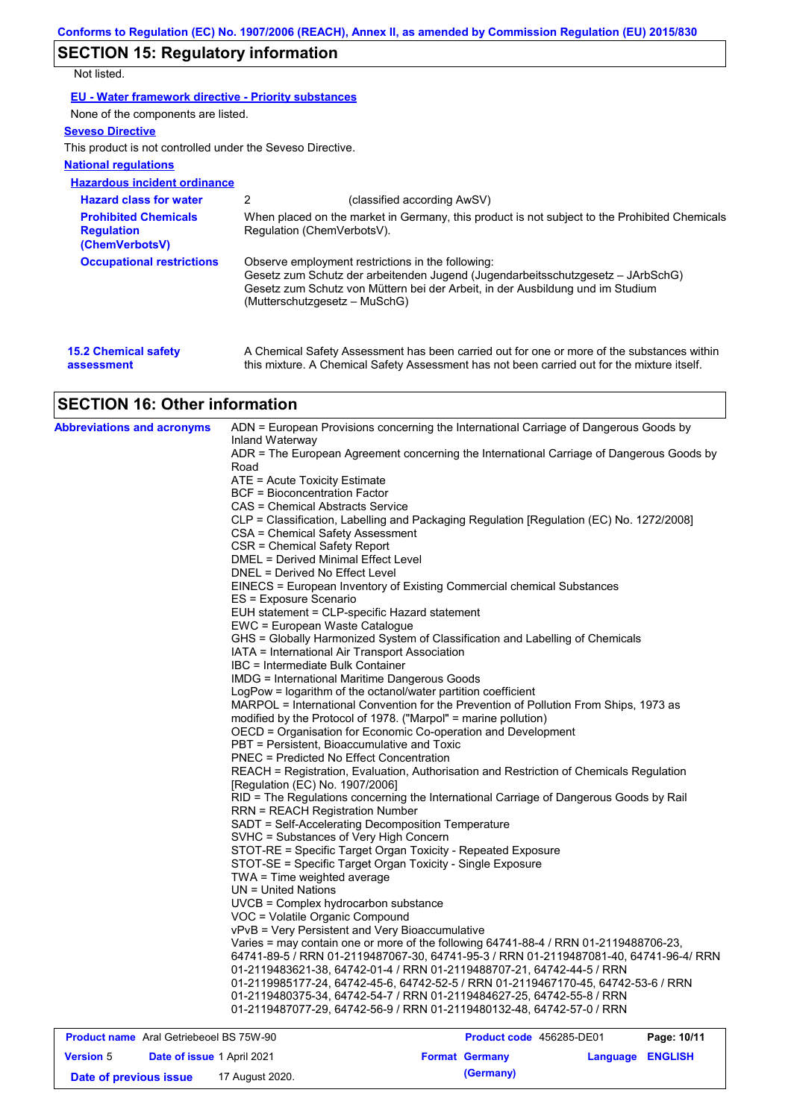# **SECTION 15: Regulatory information**

Not listed.

**EU - Water framework directive - Priority substances**

None of the components are listed.

## **Seveso Directive**

This product is not controlled under the Seveso Directive.

### **National regulations**

**Hazardous incident ordinance**

| <b>Hazard class for water</b>                                      | 2<br>(classified according AwSV)                                                                                                                                                                                                                        |
|--------------------------------------------------------------------|---------------------------------------------------------------------------------------------------------------------------------------------------------------------------------------------------------------------------------------------------------|
| <b>Prohibited Chemicals</b><br><b>Regulation</b><br>(ChemVerbotsV) | When placed on the market in Germany, this product is not subject to the Prohibited Chemicals<br>Regulation (ChemVerbotsV).                                                                                                                             |
| <b>Occupational restrictions</b>                                   | Observe employment restrictions in the following:<br>Gesetz zum Schutz der arbeitenden Jugend (Jugendarbeitsschutzgesetz – JArbSchG)<br>Gesetz zum Schutz von Müttern bei der Arbeit, in der Ausbildung und im Studium<br>(Mutterschutzgesetz – MuSchG) |
| <b>15.2 Chemical safety</b><br>assessment                          | A Chemical Safety Assessment has been carried out for one or more of the substances within<br>this mixture. A Chemical Safety Assessment has not been carried out for the mixture itself.                                                               |

# **SECTION 16: Other information**

| <b>Abbreviations and acronyms</b> | ADN = European Provisions concerning the International Carriage of Dangerous Goods by                                                                  |
|-----------------------------------|--------------------------------------------------------------------------------------------------------------------------------------------------------|
|                                   | Inland Waterway<br>ADR = The European Agreement concerning the International Carriage of Dangerous Goods by                                            |
|                                   | Road                                                                                                                                                   |
|                                   | ATE = Acute Toxicity Estimate                                                                                                                          |
|                                   | <b>BCF</b> = Bioconcentration Factor                                                                                                                   |
|                                   | CAS = Chemical Abstracts Service                                                                                                                       |
|                                   | CLP = Classification, Labelling and Packaging Regulation [Regulation (EC) No. 1272/2008]                                                               |
|                                   | CSA = Chemical Safety Assessment                                                                                                                       |
|                                   | CSR = Chemical Safety Report                                                                                                                           |
|                                   | DMEL = Derived Minimal Effect Level                                                                                                                    |
|                                   | DNEL = Derived No Effect Level                                                                                                                         |
|                                   | EINECS = European Inventory of Existing Commercial chemical Substances                                                                                 |
|                                   | ES = Exposure Scenario                                                                                                                                 |
|                                   | EUH statement = CLP-specific Hazard statement                                                                                                          |
|                                   | EWC = European Waste Catalogue                                                                                                                         |
|                                   | GHS = Globally Harmonized System of Classification and Labelling of Chemicals                                                                          |
|                                   | IATA = International Air Transport Association                                                                                                         |
|                                   | IBC = Intermediate Bulk Container                                                                                                                      |
|                                   | IMDG = International Maritime Dangerous Goods                                                                                                          |
|                                   | LogPow = logarithm of the octanol/water partition coefficient<br>MARPOL = International Convention for the Prevention of Pollution From Ships, 1973 as |
|                                   | modified by the Protocol of 1978. ("Marpol" = marine pollution)                                                                                        |
|                                   | OECD = Organisation for Economic Co-operation and Development                                                                                          |
|                                   | PBT = Persistent, Bioaccumulative and Toxic                                                                                                            |
|                                   | <b>PNEC = Predicted No Effect Concentration</b>                                                                                                        |
|                                   | REACH = Registration, Evaluation, Authorisation and Restriction of Chemicals Regulation                                                                |
|                                   | [Regulation (EC) No. 1907/2006]                                                                                                                        |
|                                   | RID = The Regulations concerning the International Carriage of Dangerous Goods by Rail                                                                 |
|                                   | <b>RRN = REACH Registration Number</b>                                                                                                                 |
|                                   | SADT = Self-Accelerating Decomposition Temperature                                                                                                     |
|                                   | SVHC = Substances of Very High Concern                                                                                                                 |
|                                   | STOT-RE = Specific Target Organ Toxicity - Repeated Exposure                                                                                           |
|                                   | STOT-SE = Specific Target Organ Toxicity - Single Exposure                                                                                             |
|                                   | TWA = Time weighted average                                                                                                                            |
|                                   | $UN = United Nations$                                                                                                                                  |
|                                   | UVCB = Complex hydrocarbon substance                                                                                                                   |
|                                   | VOC = Volatile Organic Compound                                                                                                                        |
|                                   | vPvB = Very Persistent and Very Bioaccumulative                                                                                                        |
|                                   | Varies = may contain one or more of the following 64741-88-4 / RRN 01-2119488706-23,                                                                   |
|                                   | 64741-89-5 / RRN 01-2119487067-30, 64741-95-3 / RRN 01-2119487081-40, 64741-96-4/ RRN                                                                  |
|                                   | 01-2119483621-38, 64742-01-4 / RRN 01-2119488707-21, 64742-44-5 / RRN                                                                                  |
|                                   | 01-2119985177-24, 64742-45-6, 64742-52-5 / RRN 01-2119467170-45, 64742-53-6 / RRN                                                                      |
|                                   | 01-2119480375-34, 64742-54-7 / RRN 01-2119484627-25, 64742-55-8 / RRN<br>01-2119487077-29, 64742-56-9 / RRN 01-2119480132-48, 64742-57-0 / RRN         |
|                                   |                                                                                                                                                        |
|                                   | $- - - - - - -$                                                                                                                                        |

| <b>Product name</b> Aral Getriebeoel BS 75W-90 |                                   |                 | <b>Product code</b> 456285-DE01 | Page: 10/11           |                  |  |
|------------------------------------------------|-----------------------------------|-----------------|---------------------------------|-----------------------|------------------|--|
| <b>Version 5</b>                               | <b>Date of issue 1 April 2021</b> |                 |                                 | <b>Format Germany</b> | Language ENGLISH |  |
| Date of previous issue                         |                                   | 17 August 2020. |                                 | (Germany)             |                  |  |